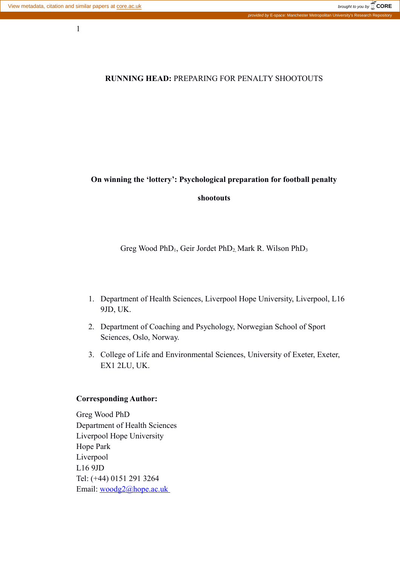1

# **RUNNING HEAD:** PREPARING FOR PENALTY SHOOTOUTS

# **On winning the 'lottery': Psychological preparation for football penalty**

## **shootouts**

Greg Wood PhD<sub>1</sub>, Geir Jordet PhD<sub>2</sub> Mark R. Wilson PhD<sub>3</sub>

- 1. Department of Health Sciences, Liverpool Hope University, Liverpool, L16 9JD, UK.
- 2. Department of Coaching and Psychology, Norwegian School of Sport Sciences, Oslo, Norway.
- 3. College of Life and Environmental Sciences, University of Exeter, Exeter, EX1 2LU, UK.

#### **Corresponding Author:**

Greg Wood PhD Department of Health Sciences Liverpool Hope University Hope Park Liverpool L16 9JD Tel: (+44) 0151 291 3264 Email: [woodg2@hope.ac.uk](mailto:woodg2@hope.ac.uk)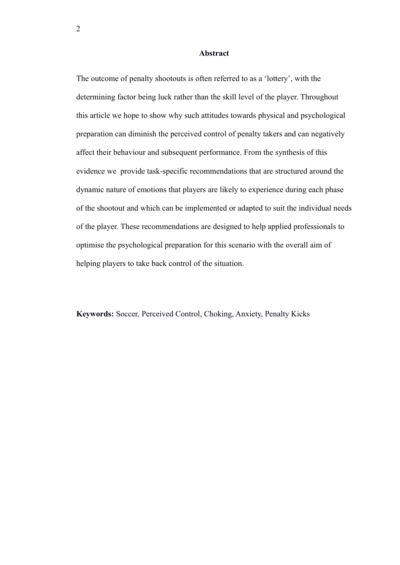#### **Abstract**

The outcome of penalty shootouts is often referred to as a 'lottery', with the determining factor being luck rather than the skill level of the player. Throughout this article we hope to show why such attitudes towards physical and psychological preparation can diminish the perceived control of penalty takers and can negatively affect their behaviour and subsequent performance. From the synthesis of this evidence we provide task-specific recommendations that are structured around the dynamic nature of emotions that players are likely to experience during each phase of the shootout and which can be implemented or adapted to suit the individual needs of the player. These recommendations are designed to help applied professionals to optimise the psychological preparation for this scenario with the overall aim of helping players to take back control of the situation.

**Keywords:** Soccer, Perceived Control, Choking, Anxiety, Penalty Kicks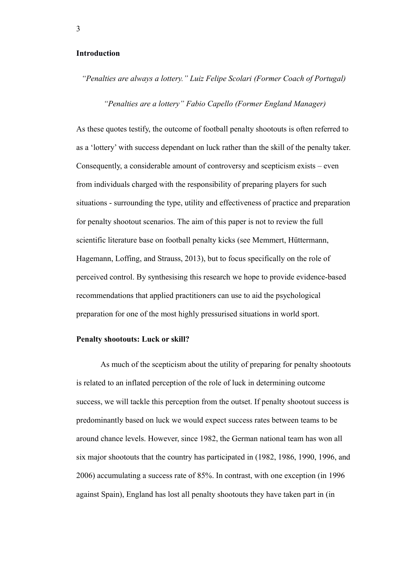#### **Introduction**

*"Penalties are always a lottery." Luiz Felipe Scolari (Former Coach of Portugal)*

 *"Penalties are a lottery" Fabio Capello (Former England Manager)*

As these quotes testify, the outcome of football penalty shootouts is often referred to as a 'lottery' with success dependant on luck rather than the skill of the penalty taker. Consequently, a considerable amount of controversy and scepticism exists – even from individuals charged with the responsibility of preparing players for such situations - surrounding the type, utility and effectiveness of practice and preparation for penalty shootout scenarios. The aim of this paper is not to review the full scientific literature base on football penalty kicks (see Memmert, Hüttermann, Hagemann, Loffing, and Strauss, 2013), but to focus specifically on the role of perceived control. By synthesising this research we hope to provide evidence-based recommendations that applied practitioners can use to aid the psychological preparation for one of the most highly pressurised situations in world sport.

#### **Penalty shootouts: Luck or skill?**

As much of the scepticism about the utility of preparing for penalty shootouts is related to an inflated perception of the role of luck in determining outcome success, we will tackle this perception from the outset. If penalty shootout success is predominantly based on luck we would expect success rates between teams to be around chance levels. However, since 1982, the German national team has won all six major shootouts that the country has participated in (1982, 1986, 1990, 1996, and 2006) accumulating a success rate of 85%. In contrast, with one exception (in 1996 against Spain), England has lost all penalty shootouts they have taken part in (in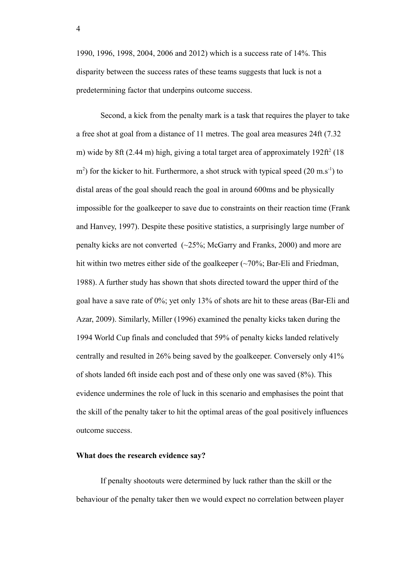1990, 1996, 1998, 2004, 2006 and 2012) which is a success rate of 14%. This disparity between the success rates of these teams suggests that luck is not a predetermining factor that underpins outcome success.

Second, a kick from the penalty mark is a task that requires the player to take a free shot at goal from a distance of 11 metres. The goal area measures 24ft (7.32 m) wide by 8ft (2.44 m) high, giving a total target area of approximately  $192 \text{ft}^2$  (18  $\text{m}^2$ ) for the kicker to hit. Furthermore, a shot struck with typical speed (20 m.s<sup>-1</sup>) to distal areas of the goal should reach the goal in around 600ms and be physically impossible for the goalkeeper to save due to constraints on their reaction time (Frank and Hanvey, 1997). Despite these positive statistics, a surprisingly large number of penalty kicks are not converted (~25%; McGarry and Franks, 2000) and more are hit within two metres either side of the goalkeeper  $(\sim 70\%;$  Bar-Eli and Friedman, 1988). A further study has shown that shots directed toward the upper third of the goal have a save rate of 0%; yet only 13% of shots are hit to these areas (Bar-Eli and Azar, 2009). Similarly, Miller (1996) examined the penalty kicks taken during the 1994 World Cup finals and concluded that 59% of penalty kicks landed relatively centrally and resulted in 26% being saved by the goalkeeper. Conversely only 41% of shots landed 6ft inside each post and of these only one was saved (8%). This evidence undermines the role of luck in this scenario and emphasises the point that the skill of the penalty taker to hit the optimal areas of the goal positively influences outcome success.

#### **What does the research evidence say?**

If penalty shootouts were determined by luck rather than the skill or the behaviour of the penalty taker then we would expect no correlation between player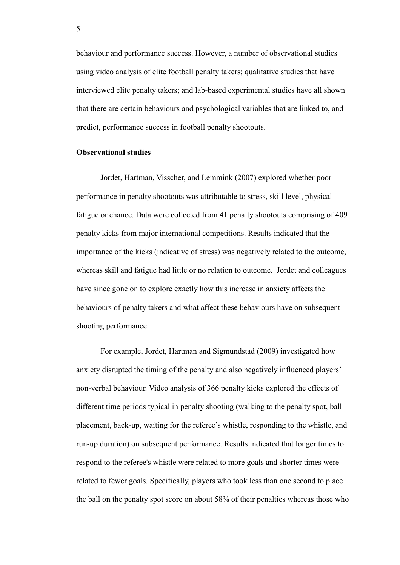behaviour and performance success. However, a number of observational studies using video analysis of elite football penalty takers; qualitative studies that have interviewed elite penalty takers; and lab-based experimental studies have all shown that there are certain behaviours and psychological variables that are linked to, and predict, performance success in football penalty shootouts.

## **Observational studies**

Jordet, Hartman, Visscher, and Lemmink (2007) explored whether poor performance in penalty shootouts was attributable to stress, skill level, physical fatigue or chance. Data were collected from 41 penalty shootouts comprising of 409 penalty kicks from major international competitions. Results indicated that the importance of the kicks (indicative of stress) was negatively related to the outcome, whereas skill and fatigue had little or no relation to outcome. Jordet and colleagues have since gone on to explore exactly how this increase in anxiety affects the behaviours of penalty takers and what affect these behaviours have on subsequent shooting performance.

For example, Jordet, Hartman and Sigmundstad (2009) investigated how anxiety disrupted the timing of the penalty and also negatively influenced players' non-verbal behaviour. Video analysis of 366 penalty kicks explored the effects of different time periods typical in penalty shooting (walking to the penalty spot, ball placement, back-up, waiting for the referee's whistle, responding to the whistle, and run-up duration) on subsequent performance. Results indicated that longer times to respond to the referee's whistle were related to more goals and shorter times were related to fewer goals. Specifically, players who took less than one second to place the ball on the penalty spot score on about 58% of their penalties whereas those who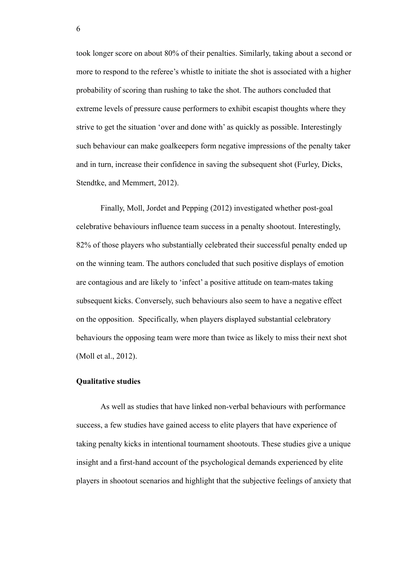took longer score on about 80% of their penalties. Similarly, taking about a second or more to respond to the referee's whistle to initiate the shot is associated with a higher probability of scoring than rushing to take the shot. The authors concluded that extreme levels of pressure cause performers to exhibit escapist thoughts where they strive to get the situation 'over and done with' as quickly as possible. Interestingly such behaviour can make goalkeepers form negative impressions of the penalty taker and in turn, increase their confidence in saving the subsequent shot (Furley, Dicks, Stendtke, and Memmert, 2012).

Finally, Moll, Jordet and Pepping (2012) investigated whether post-goal celebrative behaviours influence team success in a penalty shootout. Interestingly, 82% of those players who substantially celebrated their successful penalty ended up on the winning team. The authors concluded that such positive displays of emotion are contagious and are likely to 'infect' a positive attitude on team-mates taking subsequent kicks. Conversely, such behaviours also seem to have a negative effect on the opposition. Specifically, when players displayed substantial celebratory behaviours the opposing team were more than twice as likely to miss their next shot (Moll et al., 2012).

## **Qualitative studies**

As well as studies that have linked non-verbal behaviours with performance success, a few studies have gained access to elite players that have experience of taking penalty kicks in intentional tournament shootouts. These studies give a unique insight and a first-hand account of the psychological demands experienced by elite players in shootout scenarios and highlight that the subjective feelings of anxiety that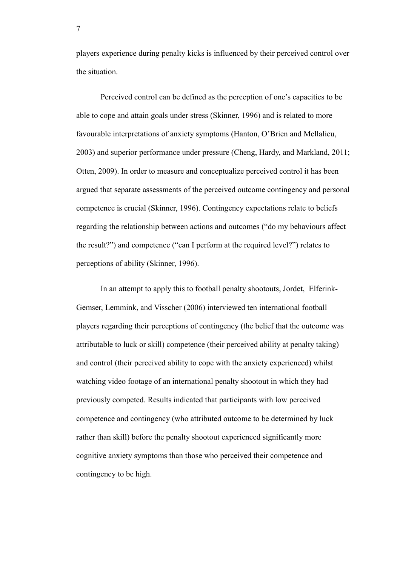players experience during penalty kicks is influenced by their perceived control over the situation.

Perceived control can be defined as the perception of one's capacities to be able to cope and attain goals under stress (Skinner, 1996) and is related to more favourable interpretations of anxiety symptoms (Hanton, O'Brien and Mellalieu, 2003) and superior performance under pressure (Cheng, Hardy, and Markland, 2011; Otten, 2009). In order to measure and conceptualize perceived control it has been argued that separate assessments of the perceived outcome contingency and personal competence is crucial (Skinner, 1996). Contingency expectations relate to beliefs regarding the relationship between actions and outcomes ("do my behaviours affect the result?") and competence ("can I perform at the required level?") relates to perceptions of ability (Skinner, 1996).

In an attempt to apply this to football penalty shootouts, Jordet, Elferink-Gemser, Lemmink, and Visscher (2006) interviewed ten international football players regarding their perceptions of contingency (the belief that the outcome was attributable to luck or skill) competence (their perceived ability at penalty taking) and control (their perceived ability to cope with the anxiety experienced) whilst watching video footage of an international penalty shootout in which they had previously competed. Results indicated that participants with low perceived competence and contingency (who attributed outcome to be determined by luck rather than skill) before the penalty shootout experienced significantly more cognitive anxiety symptoms than those who perceived their competence and contingency to be high.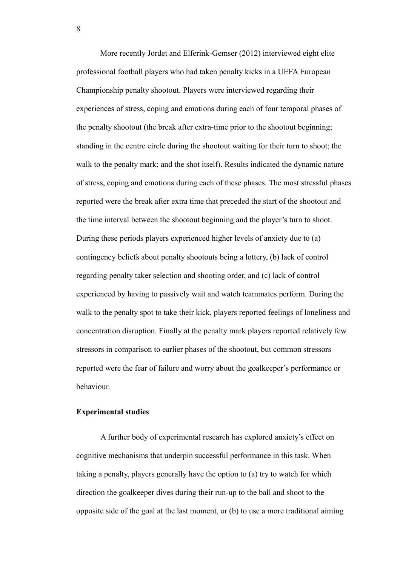More recently Jordet and Elferink-Gemser (2012) interviewed eight elite professional football players who had taken penalty kicks in a UEFA European Championship penalty shootout. Players were interviewed regarding their experiences of stress, coping and emotions during each of four temporal phases of the penalty shootout (the break after extra-time prior to the shootout beginning; standing in the centre circle during the shootout waiting for their turn to shoot; the walk to the penalty mark; and the shot itself). Results indicated the dynamic nature of stress, coping and emotions during each of these phases. The most stressful phases reported were the break after extra time that preceded the start of the shootout and the time interval between the shootout beginning and the player's turn to shoot. During these periods players experienced higher levels of anxiety due to (a) contingency beliefs about penalty shootouts being a lottery, (b) lack of control regarding penalty taker selection and shooting order, and (c) lack of control experienced by having to passively wait and watch teammates perform. During the walk to the penalty spot to take their kick, players reported feelings of loneliness and concentration disruption. Finally at the penalty mark players reported relatively few stressors in comparison to earlier phases of the shootout, but common stressors reported were the fear of failure and worry about the goalkeeper's performance or behaviour.

# **Experimental studies**

A further body of experimental research has explored anxiety's effect on cognitive mechanisms that underpin successful performance in this task. When taking a penalty, players generally have the option to (a) try to watch for which direction the goalkeeper dives during their run-up to the ball and shoot to the opposite side of the goal at the last moment, or (b) to use a more traditional aiming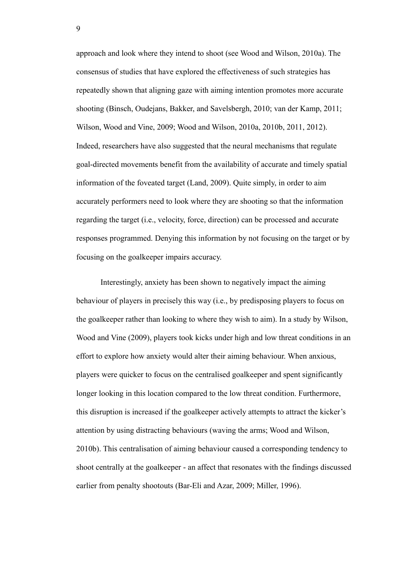approach and look where they intend to shoot (see Wood and Wilson, 2010a). The consensus of studies that have explored the effectiveness of such strategies has repeatedly shown that aligning gaze with aiming intention promotes more accurate shooting (Binsch, Oudejans, Bakker, and Savelsbergh, 2010; van der Kamp, 2011; Wilson, Wood and Vine, 2009; Wood and Wilson, 2010a, 2010b, 2011, 2012). Indeed, researchers have also suggested that the neural mechanisms that regulate goal-directed movements benefit from the availability of accurate and timely spatial information of the foveated target (Land, 2009). Quite simply, in order to aim accurately performers need to look where they are shooting so that the information regarding the target (i.e., velocity, force, direction) can be processed and accurate responses programmed. Denying this information by not focusing on the target or by focusing on the goalkeeper impairs accuracy.

Interestingly, anxiety has been shown to negatively impact the aiming behaviour of players in precisely this way (i.e., by predisposing players to focus on the goalkeeper rather than looking to where they wish to aim). In a study by Wilson, Wood and Vine (2009), players took kicks under high and low threat conditions in an effort to explore how anxiety would alter their aiming behaviour. When anxious, players were quicker to focus on the centralised goalkeeper and spent significantly longer looking in this location compared to the low threat condition. Furthermore, this disruption is increased if the goalkeeper actively attempts to attract the kicker's attention by using distracting behaviours (waving the arms; Wood and Wilson, 2010b). This centralisation of aiming behaviour caused a corresponding tendency to shoot centrally at the goalkeeper - an affect that resonates with the findings discussed earlier from penalty shootouts (Bar-Eli and Azar, 2009; Miller, 1996).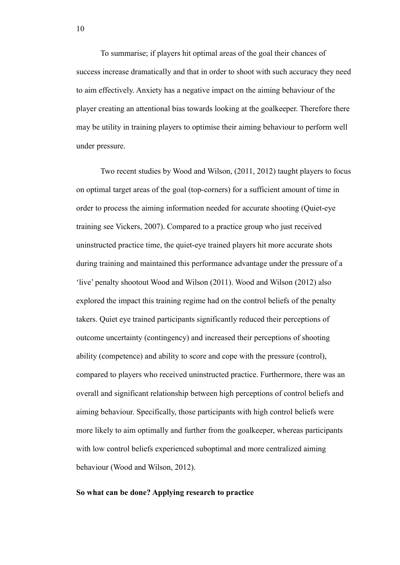To summarise; if players hit optimal areas of the goal their chances of success increase dramatically and that in order to shoot with such accuracy they need to aim effectively. Anxiety has a negative impact on the aiming behaviour of the player creating an attentional bias towards looking at the goalkeeper. Therefore there may be utility in training players to optimise their aiming behaviour to perform well under pressure.

Two recent studies by Wood and Wilson, (2011, 2012) taught players to focus on optimal target areas of the goal (top-corners) for a sufficient amount of time in order to process the aiming information needed for accurate shooting (Quiet-eye training see Vickers, 2007). Compared to a practice group who just received uninstructed practice time, the quiet-eye trained players hit more accurate shots during training and maintained this performance advantage under the pressure of a 'live' penalty shootout Wood and Wilson (2011). Wood and Wilson (2012) also explored the impact this training regime had on the control beliefs of the penalty takers. Quiet eye trained participants significantly reduced their perceptions of outcome uncertainty (contingency) and increased their perceptions of shooting ability (competence) and ability to score and cope with the pressure (control), compared to players who received uninstructed practice. Furthermore, there was an overall and significant relationship between high perceptions of control beliefs and aiming behaviour. Specifically, those participants with high control beliefs were more likely to aim optimally and further from the goalkeeper, whereas participants with low control beliefs experienced suboptimal and more centralized aiming behaviour (Wood and Wilson, 2012).

## **So what can be done? Applying research to practice**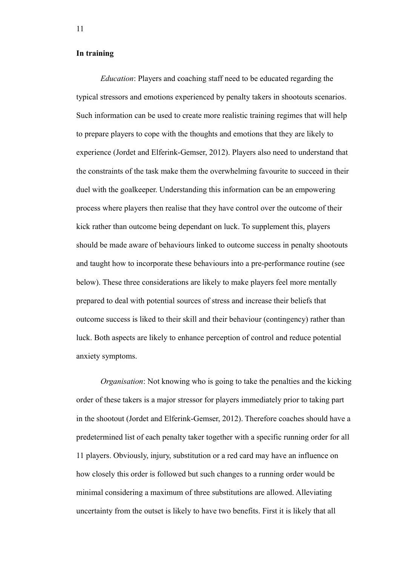## **In training**

*Education*: Players and coaching staff need to be educated regarding the typical stressors and emotions experienced by penalty takers in shootouts scenarios. Such information can be used to create more realistic training regimes that will help to prepare players to cope with the thoughts and emotions that they are likely to experience (Jordet and Elferink-Gemser, 2012). Players also need to understand that the constraints of the task make them the overwhelming favourite to succeed in their duel with the goalkeeper. Understanding this information can be an empowering process where players then realise that they have control over the outcome of their kick rather than outcome being dependant on luck. To supplement this, players should be made aware of behaviours linked to outcome success in penalty shootouts and taught how to incorporate these behaviours into a pre-performance routine (see below). These three considerations are likely to make players feel more mentally prepared to deal with potential sources of stress and increase their beliefs that outcome success is liked to their skill and their behaviour (contingency) rather than luck. Both aspects are likely to enhance perception of control and reduce potential anxiety symptoms.

*Organisation*: Not knowing who is going to take the penalties and the kicking order of these takers is a major stressor for players immediately prior to taking part in the shootout (Jordet and Elferink-Gemser, 2012). Therefore coaches should have a predetermined list of each penalty taker together with a specific running order for all 11 players. Obviously, injury, substitution or a red card may have an influence on how closely this order is followed but such changes to a running order would be minimal considering a maximum of three substitutions are allowed. Alleviating uncertainty from the outset is likely to have two benefits. First it is likely that all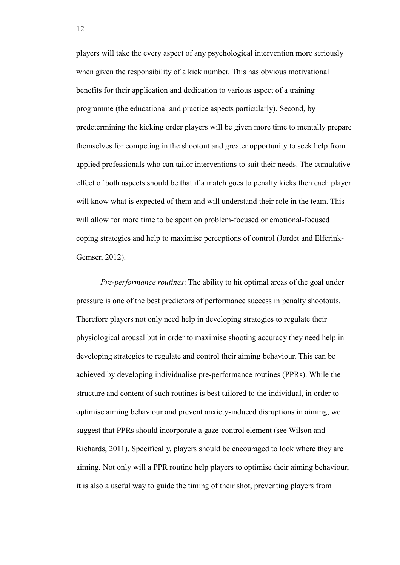players will take the every aspect of any psychological intervention more seriously when given the responsibility of a kick number. This has obvious motivational benefits for their application and dedication to various aspect of a training programme (the educational and practice aspects particularly). Second, by predetermining the kicking order players will be given more time to mentally prepare themselves for competing in the shootout and greater opportunity to seek help from applied professionals who can tailor interventions to suit their needs. The cumulative effect of both aspects should be that if a match goes to penalty kicks then each player will know what is expected of them and will understand their role in the team. This will allow for more time to be spent on problem-focused or emotional-focused coping strategies and help to maximise perceptions of control (Jordet and Elferink-Gemser, 2012).

*Pre-performance routines*: The ability to hit optimal areas of the goal under pressure is one of the best predictors of performance success in penalty shootouts. Therefore players not only need help in developing strategies to regulate their physiological arousal but in order to maximise shooting accuracy they need help in developing strategies to regulate and control their aiming behaviour. This can be achieved by developing individualise pre-performance routines (PPRs). While the structure and content of such routines is best tailored to the individual, in order to optimise aiming behaviour and prevent anxiety-induced disruptions in aiming, we suggest that PPRs should incorporate a gaze-control element (see Wilson and Richards, 2011). Specifically, players should be encouraged to look where they are aiming. Not only will a PPR routine help players to optimise their aiming behaviour, it is also a useful way to guide the timing of their shot, preventing players from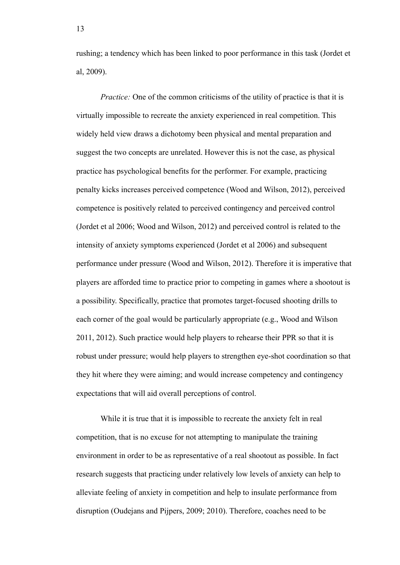rushing; a tendency which has been linked to poor performance in this task (Jordet et al, 2009).

*Practice:* One of the common criticisms of the utility of practice is that it is virtually impossible to recreate the anxiety experienced in real competition. This widely held view draws a dichotomy been physical and mental preparation and suggest the two concepts are unrelated. However this is not the case, as physical practice has psychological benefits for the performer. For example, practicing penalty kicks increases perceived competence (Wood and Wilson, 2012), perceived competence is positively related to perceived contingency and perceived control (Jordet et al 2006; Wood and Wilson, 2012) and perceived control is related to the intensity of anxiety symptoms experienced (Jordet et al 2006) and subsequent performance under pressure (Wood and Wilson, 2012). Therefore it is imperative that players are afforded time to practice prior to competing in games where a shootout is a possibility. Specifically, practice that promotes target-focused shooting drills to each corner of the goal would be particularly appropriate (e.g., Wood and Wilson 2011, 2012). Such practice would help players to rehearse their PPR so that it is robust under pressure; would help players to strengthen eye-shot coordination so that they hit where they were aiming; and would increase competency and contingency expectations that will aid overall perceptions of control.

While it is true that it is impossible to recreate the anxiety felt in real competition, that is no excuse for not attempting to manipulate the training environment in order to be as representative of a real shootout as possible. In fact research suggests that practicing under relatively low levels of anxiety can help to alleviate feeling of anxiety in competition and help to insulate performance from disruption (Oudejans and Pijpers, 2009; 2010). Therefore, coaches need to be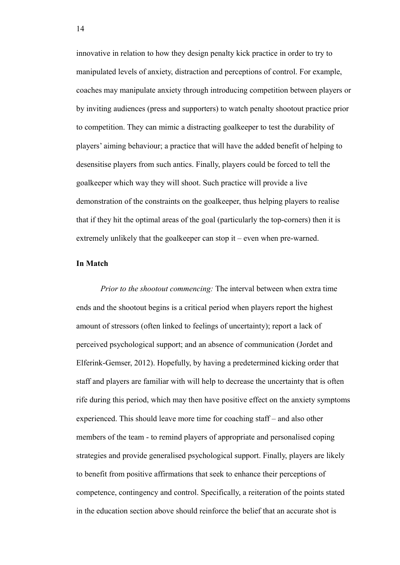innovative in relation to how they design penalty kick practice in order to try to manipulated levels of anxiety, distraction and perceptions of control. For example, coaches may manipulate anxiety through introducing competition between players or by inviting audiences (press and supporters) to watch penalty shootout practice prior to competition. They can mimic a distracting goalkeeper to test the durability of players' aiming behaviour; a practice that will have the added benefit of helping to desensitise players from such antics. Finally, players could be forced to tell the goalkeeper which way they will shoot. Such practice will provide a live demonstration of the constraints on the goalkeeper, thus helping players to realise that if they hit the optimal areas of the goal (particularly the top-corners) then it is extremely unlikely that the goalkeeper can stop it – even when pre-warned.

# **In Match**

*Prior to the shootout commencing:* The interval between when extra time ends and the shootout begins is a critical period when players report the highest amount of stressors (often linked to feelings of uncertainty); report a lack of perceived psychological support; and an absence of communication (Jordet and Elferink-Gemser, 2012). Hopefully, by having a predetermined kicking order that staff and players are familiar with will help to decrease the uncertainty that is often rife during this period, which may then have positive effect on the anxiety symptoms experienced. This should leave more time for coaching staff – and also other members of the team - to remind players of appropriate and personalised coping strategies and provide generalised psychological support. Finally, players are likely to benefit from positive affirmations that seek to enhance their perceptions of competence, contingency and control. Specifically, a reiteration of the points stated in the education section above should reinforce the belief that an accurate shot is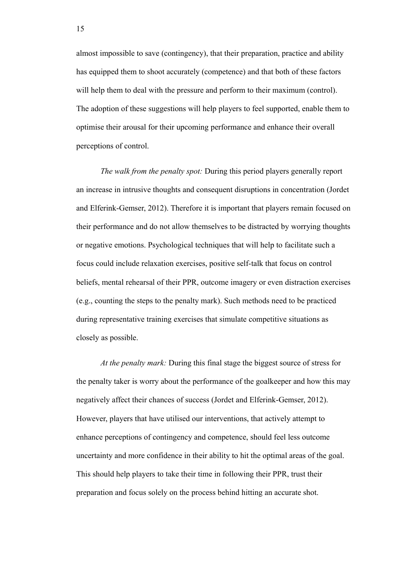almost impossible to save (contingency), that their preparation, practice and ability has equipped them to shoot accurately (competence) and that both of these factors will help them to deal with the pressure and perform to their maximum (control). The adoption of these suggestions will help players to feel supported, enable them to optimise their arousal for their upcoming performance and enhance their overall perceptions of control.

*The walk from the penalty spot:* During this period players generally report an increase in intrusive thoughts and consequent disruptions in concentration (Jordet and Elferink-Gemser, 2012). Therefore it is important that players remain focused on their performance and do not allow themselves to be distracted by worrying thoughts or negative emotions. Psychological techniques that will help to facilitate such a focus could include relaxation exercises, positive self-talk that focus on control beliefs, mental rehearsal of their PPR, outcome imagery or even distraction exercises (e.g., counting the steps to the penalty mark). Such methods need to be practiced during representative training exercises that simulate competitive situations as closely as possible.

*At the penalty mark:* During this final stage the biggest source of stress for the penalty taker is worry about the performance of the goalkeeper and how this may negatively affect their chances of success (Jordet and Elferink-Gemser, 2012). However, players that have utilised our interventions, that actively attempt to enhance perceptions of contingency and competence, should feel less outcome uncertainty and more confidence in their ability to hit the optimal areas of the goal. This should help players to take their time in following their PPR, trust their preparation and focus solely on the process behind hitting an accurate shot.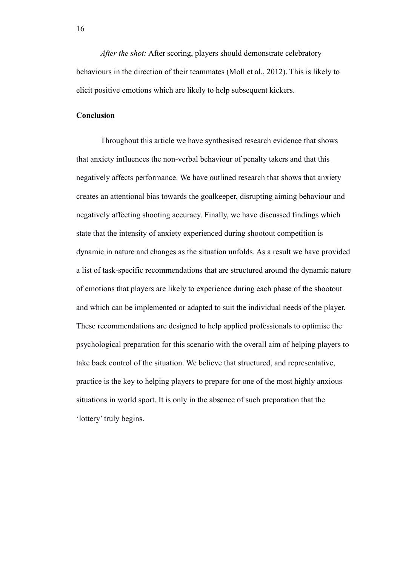*After the shot:* After scoring, players should demonstrate celebratory behaviours in the direction of their teammates (Moll et al., 2012). This is likely to elicit positive emotions which are likely to help subsequent kickers.

# **Conclusion**

Throughout this article we have synthesised research evidence that shows that anxiety influences the non-verbal behaviour of penalty takers and that this negatively affects performance. We have outlined research that shows that anxiety creates an attentional bias towards the goalkeeper, disrupting aiming behaviour and negatively affecting shooting accuracy. Finally, we have discussed findings which state that the intensity of anxiety experienced during shootout competition is dynamic in nature and changes as the situation unfolds. As a result we have provided a list of task-specific recommendations that are structured around the dynamic nature of emotions that players are likely to experience during each phase of the shootout and which can be implemented or adapted to suit the individual needs of the player. These recommendations are designed to help applied professionals to optimise the psychological preparation for this scenario with the overall aim of helping players to take back control of the situation. We believe that structured, and representative, practice is the key to helping players to prepare for one of the most highly anxious situations in world sport. It is only in the absence of such preparation that the 'lottery' truly begins.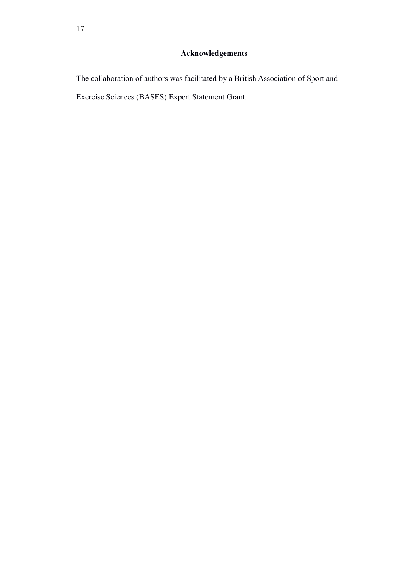# **Acknowledgements**

The collaboration of authors was facilitated by a British Association of Sport and Exercise Sciences (BASES) Expert Statement Grant.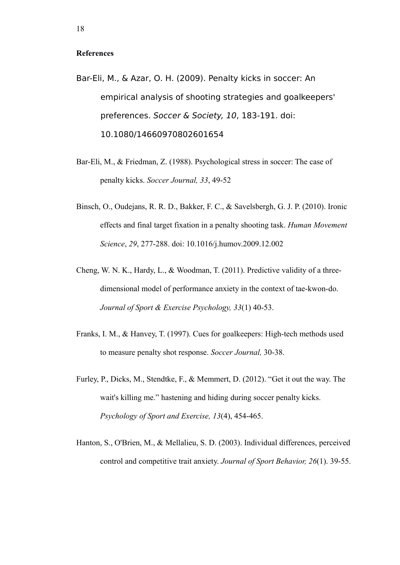#### **References**

- Bar-Eli, M., & Azar, O. H. (2009). Penalty kicks in soccer: An empirical analysis of shooting strategies and goalkeepers' preferences. Soccer & Society, 10, 183-191. doi: 10.1080/14660970802601654
- Bar-Eli, M., & Friedman, Z. (1988). Psychological stress in soccer: The case of penalty kicks. *Soccer Journal, 33*, 49-52
- Binsch, O., Oudejans, R. R. D., Bakker, F. C., & Savelsbergh, G. J. P. (2010). Ironic effects and final target fixation in a penalty shooting task. *Human Movement Science*, *29*, 277-288. doi: 10.1016/j.humov.2009.12.002
- Cheng, W. N. K., Hardy, L., & Woodman, T. (2011). Predictive validity of a threedimensional model of performance anxiety in the context of tae-kwon-do. *Journal of Sport & Exercise Psychology, 33*(1) 40-53.
- Franks, I. M., & Hanvey, T. (1997). Cues for goalkeepers: High-tech methods used to measure penalty shot response. *Soccer Journal,* 30-38.
- Furley, P., Dicks, M., Stendtke, F., & Memmert, D. (2012). "Get it out the way. The wait's killing me." hastening and hiding during soccer penalty kicks. *Psychology of Sport and Exercise, 13*(4), 454-465.
- Hanton, S., O'Brien, M., & Mellalieu, S. D. (2003). Individual differences, perceived control and competitive trait anxiety. *Journal of Sport Behavior, 26*(1). 39-55.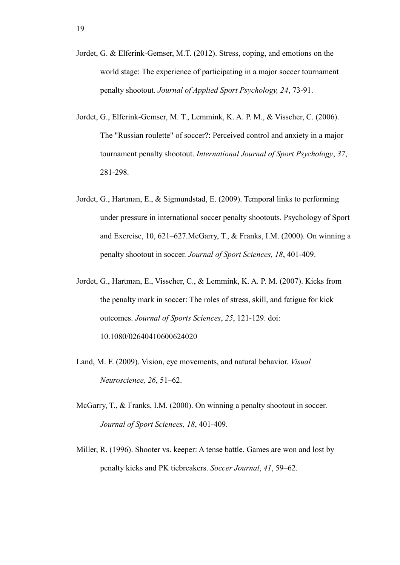- Jordet, G. & Elferink-Gemser, M.T. (2012). Stress, coping, and emotions on the world stage: The experience of participating in a major soccer tournament penalty shootout. *Journal of Applied Sport Psychology, 24*, 73-91.
- Jordet, G., Elferink-Gemser, M. T., Lemmink, K. A. P. M., & Visscher, C. (2006). The "Russian roulette" of soccer?: Perceived control and anxiety in a major tournament penalty shootout. *International Journal of Sport Psychology*, *37*, 281-298.
- Jordet, G., Hartman, E., & Sigmundstad, E. (2009). Temporal links to performing under pressure in international soccer penalty shootouts. Psychology of Sport and Exercise, 10, 621–627.McGarry, T., & Franks, I.M. (2000). On winning a penalty shootout in soccer. *Journal of Sport Sciences, 18*, 401-409.
- Jordet, G., Hartman, E., Visscher, C., & Lemmink, K. A. P. M. (2007). Kicks from the penalty mark in soccer: The roles of stress, skill, and fatigue for kick outcomes. *Journal of Sports Sciences*, *25*, 121-129. doi: 10.1080/02640410600624020
- Land, M. F. (2009). Vision, eye movements, and natural behavior. *Visual Neuroscience, 26*, 51–62.
- McGarry, T., & Franks, I.M. (2000). On winning a penalty shootout in soccer. *Journal of Sport Sciences, 18*, 401-409.
- Miller, R. (1996). Shooter vs. keeper: A tense battle. Games are won and lost by penalty kicks and PK tiebreakers. *Soccer Journal*, *41*, 59–62.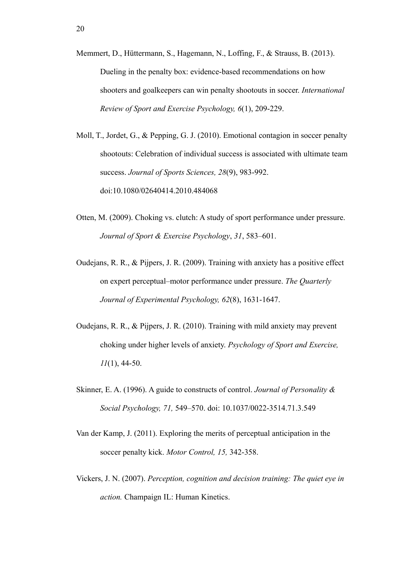- Memmert, D., Hüttermann, S., Hagemann, N., Loffing, F., & Strauss, B. (2013). Dueling in the penalty box: evidence-based recommendations on how shooters and goalkeepers can win penalty shootouts in soccer. *International Review of Sport and Exercise Psychology, 6*(1), 209-229.
- Moll, T., Jordet, G., & Pepping, G. J. (2010). Emotional contagion in soccer penalty shootouts: Celebration of individual success is associated with ultimate team success. *Journal of Sports Sciences, 28*(9), 983-992. doi:10.1080/02640414.2010.484068
- Otten, M. (2009). Choking vs. clutch: A study of sport performance under pressure. *Journal of Sport & Exercise Psychology*, *31*, 583–601.
- Oudejans, R. R., & Pijpers, J. R. (2009). Training with anxiety has a positive effect on expert perceptual–motor performance under pressure. *The Quarterly Journal of Experimental Psychology, 62*(8), 1631-1647.
- Oudejans, R. R., & Pijpers, J. R. (2010). Training with mild anxiety may prevent choking under higher levels of anxiety. *Psychology of Sport and Exercise, 11*(1), 44-50.
- Skinner, E. A. (1996). A guide to constructs of control. *Journal of Personality & Social Psychology, 71,* 549–570. doi: 10.1037/0022-3514.71.3.549
- Van der Kamp, J. (2011). Exploring the merits of perceptual anticipation in the soccer penalty kick. *Motor Control, 15,* 342-358.
- Vickers, J. N. (2007). *Perception, cognition and decision training: The quiet eye in action.* Champaign IL: Human Kinetics.